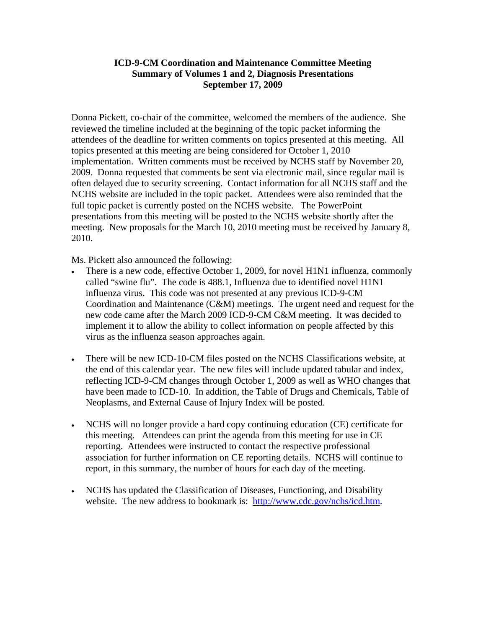### **ICD-9-CM Coordination and Maintenance Committee Meeting Summary of Volumes 1 and 2, Diagnosis Presentations September 17, 2009**

Donna Pickett, co-chair of the committee, welcomed the members of the audience. She reviewed the timeline included at the beginning of the topic packet informing the attendees of the deadline for written comments on topics presented at this meeting. All topics presented at this meeting are being considered for October 1, 2010 implementation. Written comments must be received by NCHS staff by November 20, 2009. Donna requested that comments be sent via electronic mail, since regular mail is often delayed due to security screening. Contact information for all NCHS staff and the NCHS website are included in the topic packet. Attendees were also reminded that the full topic packet is currently posted on the NCHS website. The PowerPoint presentations from this meeting will be posted to the NCHS website shortly after the meeting. New proposals for the March 10, 2010 meeting must be received by January 8, 2010.

Ms. Pickett also announced the following:

- There is a new code, effective October 1, 2009, for novel H1N1 influenza, commonly called "swine flu". The code is 488.1, Influenza due to identified novel H1N1 influenza virus. This code was not presented at any previous ICD-9-CM Coordination and Maintenance (C&M) meetings. The urgent need and request for the new code came after the March 2009 ICD-9-CM C&M meeting. It was decided to implement it to allow the ability to collect information on people affected by this virus as the influenza season approaches again.
- There will be new ICD-10-CM files posted on the NCHS Classifications website, at the end of this calendar year. The new files will include updated tabular and index, reflecting ICD-9-CM changes through October 1, 2009 as well as WHO changes that have been made to ICD-10. In addition, the Table of Drugs and Chemicals, Table of Neoplasms, and External Cause of Injury Index will be posted.
- NCHS will no longer provide a hard copy continuing education (CE) certificate for this meeting. Attendees can print the agenda from this meeting for use in CE reporting. Attendees were instructed to contact the respective professional association for further information on CE reporting details. NCHS will continue to report, in this summary, the number of hours for each day of the meeting.
- NCHS has updated the Classification of Diseases, Functioning, and Disability website. The new address to bookmark is: [http://www.cdc.gov/nchs/icd.htm.](http://www.cdc.gov/nchs/icd.htm)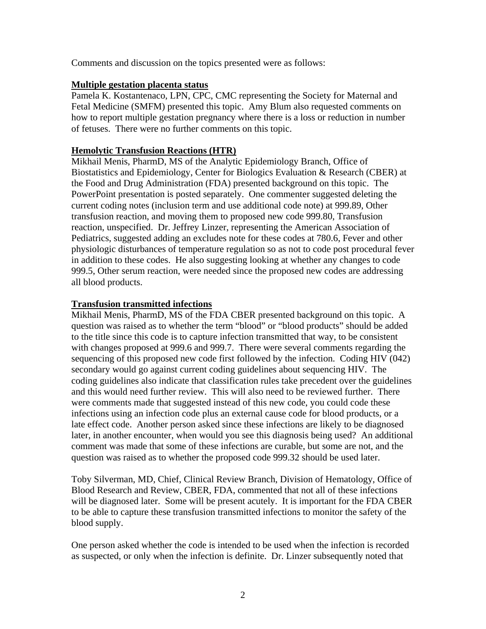Comments and discussion on the topics presented were as follows:

### **Multiple gestation placenta status**

Pamela K. Kostantenaco, LPN, CPC, CMC representing the Society for Maternal and Fetal Medicine (SMFM) presented this topic. Amy Blum also requested comments on how to report multiple gestation pregnancy where there is a loss or reduction in number of fetuses. There were no further comments on this topic.

## **Hemolytic Transfusion Reactions (HTR)**

Mikhail Menis, PharmD, MS of the Analytic Epidemiology Branch, Office of Biostatistics and Epidemiology, Center for Biologics Evaluation & Research (CBER) at the Food and Drug Administration (FDA) presented background on this topic. The PowerPoint presentation is posted separately. One commenter suggested deleting the current coding notes (inclusion term and use additional code note) at 999.89, Other transfusion reaction, and moving them to proposed new code 999.80, Transfusion reaction, unspecified. Dr. Jeffrey Linzer, representing the American Association of Pediatrics, suggested adding an excludes note for these codes at 780.6, Fever and other physiologic disturbances of temperature regulation so as not to code post procedural fever in addition to these codes. He also suggesting looking at whether any changes to code 999.5, Other serum reaction, were needed since the proposed new codes are addressing all blood products.

### **Transfusion transmitted infections**

Mikhail Menis, PharmD, MS of the FDA CBER presented background on this topic. A question was raised as to whether the term "blood" or "blood products" should be added to the title since this code is to capture infection transmitted that way, to be consistent with changes proposed at 999.6 and 999.7. There were several comments regarding the sequencing of this proposed new code first followed by the infection. Coding HIV (042) secondary would go against current coding guidelines about sequencing HIV. The coding guidelines also indicate that classification rules take precedent over the guidelines and this would need further review. This will also need to be reviewed further. There were comments made that suggested instead of this new code, you could code these infections using an infection code plus an external cause code for blood products, or a late effect code. Another person asked since these infections are likely to be diagnosed later, in another encounter, when would you see this diagnosis being used? An additional comment was made that some of these infections are curable, but some are not, and the question was raised as to whether the proposed code 999.32 should be used later.

Toby Silverman, MD, Chief, Clinical Review Branch, Division of Hematology, Office of Blood Research and Review, CBER, FDA, commented that not all of these infections will be diagnosed later. Some will be present acutely. It is important for the FDA CBER to be able to capture these transfusion transmitted infections to monitor the safety of the blood supply.

One person asked whether the code is intended to be used when the infection is recorded as suspected, or only when the infection is definite. Dr. Linzer subsequently noted that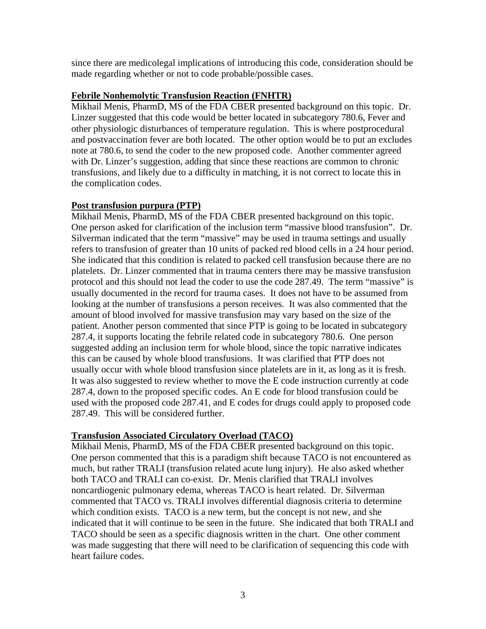since there are medicolegal implications of introducing this code, consideration should be made regarding whether or not to code probable/possible cases.

### **Febrile Nonhemolytic Transfusion Reaction (FNHTR)**

Mikhail Menis, PharmD, MS of the FDA CBER presented background on this topic. Dr. Linzer suggested that this code would be better located in subcategory 780.6, Fever and other physiologic disturbances of temperature regulation. This is where postprocedural and postvaccination fever are both located. The other option would be to put an excludes note at 780.6, to send the coder to the new proposed code. Another commenter agreed with Dr. Linzer's suggestion, adding that since these reactions are common to chronic transfusions, and likely due to a difficulty in matching, it is not correct to locate this in the complication codes.

# **Post transfusion purpura (PTP)**

Mikhail Menis, PharmD, MS of the FDA CBER presented background on this topic. One person asked for clarification of the inclusion term "massive blood transfusion". Dr. Silverman indicated that the term "massive" may be used in trauma settings and usually refers to transfusion of greater than 10 units of packed red blood cells in a 24 hour period. She indicated that this condition is related to packed cell transfusion because there are no platelets. Dr. Linzer commented that in trauma centers there may be massive transfusion protocol and this should not lead the coder to use the code 287.49. The term "massive" is usually documented in the record for trauma cases. It does not have to be assumed from looking at the number of transfusions a person receives. It was also commented that the amount of blood involved for massive transfusion may vary based on the size of the patient. Another person commented that since PTP is going to be located in subcategory 287.4, it supports locating the febrile related code in subcategory 780.6. One person suggested adding an inclusion term for whole blood, since the topic narrative indicates this can be caused by whole blood transfusions. It was clarified that PTP does not usually occur with whole blood transfusion since platelets are in it, as long as it is fresh. It was also suggested to review whether to move the E code instruction currently at code 287.4, down to the proposed specific codes. An E code for blood transfusion could be used with the proposed code 287.41, and E codes for drugs could apply to proposed code 287.49. This will be considered further.

# **Transfusion Associated Circulatory Overload (TACO)**

Mikhail Menis, PharmD, MS of the FDA CBER presented background on this topic. One person commented that this is a paradigm shift because TACO is not encountered as much, but rather TRALI (transfusion related acute lung injury). He also asked whether both TACO and TRALI can co-exist. Dr. Menis clarified that TRALI involves noncardiogenic pulmonary edema, whereas TACO is heart related. Dr. Silverman commented that TACO vs. TRALI involves differential diagnosis criteria to determine which condition exists. TACO is a new term, but the concept is not new, and she indicated that it will continue to be seen in the future. She indicated that both TRALI and TACO should be seen as a specific diagnosis written in the chart. One other comment was made suggesting that there will need to be clarification of sequencing this code with heart failure codes.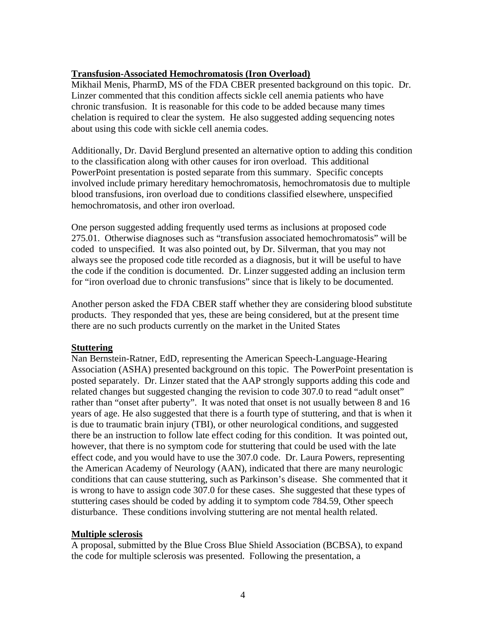# **Transfusion-Associated Hemochromatosis (Iron Overload)**

Mikhail Menis, PharmD, MS of the FDA CBER presented background on this topic. Dr. Linzer commented that this condition affects sickle cell anemia patients who have chronic transfusion. It is reasonable for this code to be added because many times chelation is required to clear the system. He also suggested adding sequencing notes about using this code with sickle cell anemia codes.

Additionally, Dr. David Berglund presented an alternative option to adding this condition to the classification along with other causes for iron overload. This additional PowerPoint presentation is posted separate from this summary. Specific concepts involved include primary hereditary hemochromatosis, hemochromatosis due to multiple blood transfusions, iron overload due to conditions classified elsewhere, unspecified hemochromatosis, and other iron overload.

One person suggested adding frequently used terms as inclusions at proposed code 275.01. Otherwise diagnoses such as "transfusion associated hemochromatosis" will be coded to unspecified. It was also pointed out, by Dr. Silverman, that you may not always see the proposed code title recorded as a diagnosis, but it will be useful to have the code if the condition is documented. Dr. Linzer suggested adding an inclusion term for "iron overload due to chronic transfusions" since that is likely to be documented.

Another person asked the FDA CBER staff whether they are considering blood substitute products. They responded that yes, these are being considered, but at the present time there are no such products currently on the market in the United States

#### **Stuttering**

Nan Bernstein-Ratner, EdD, representing the American Speech-Language-Hearing Association (ASHA) presented background on this topic. The PowerPoint presentation is posted separately. Dr. Linzer stated that the AAP strongly supports adding this code and related changes but suggested changing the revision to code 307.0 to read "adult onset" rather than "onset after puberty". It was noted that onset is not usually between 8 and 16 years of age. He also suggested that there is a fourth type of stuttering, and that is when it is due to traumatic brain injury (TBI), or other neurological conditions, and suggested there be an instruction to follow late effect coding for this condition. It was pointed out, however, that there is no symptom code for stuttering that could be used with the late effect code, and you would have to use the 307.0 code. Dr. Laura Powers, representing the American Academy of Neurology (AAN), indicated that there are many neurologic conditions that can cause stuttering, such as Parkinson's disease. She commented that it is wrong to have to assign code 307.0 for these cases. She suggested that these types of stuttering cases should be coded by adding it to symptom code 784.59, Other speech disturbance. These conditions involving stuttering are not mental health related.

# **Multiple sclerosis**

A proposal, submitted by the Blue Cross Blue Shield Association (BCBSA), to expand the code for multiple sclerosis was presented. Following the presentation, a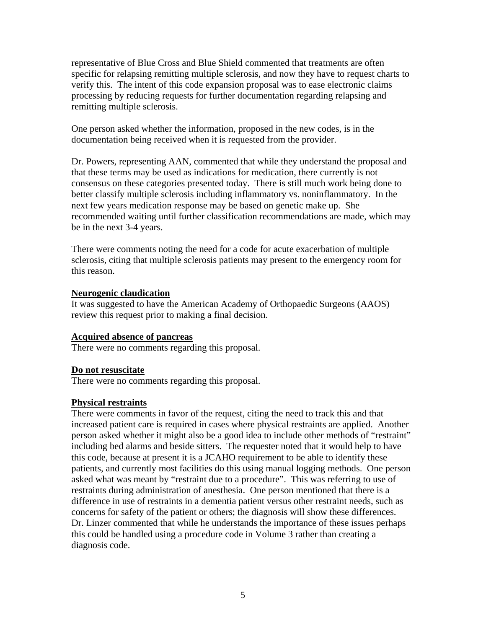representative of Blue Cross and Blue Shield commented that treatments are often specific for relapsing remitting multiple sclerosis, and now they have to request charts to verify this. The intent of this code expansion proposal was to ease electronic claims processing by reducing requests for further documentation regarding relapsing and remitting multiple sclerosis.

One person asked whether the information, proposed in the new codes, is in the documentation being received when it is requested from the provider.

Dr. Powers, representing AAN, commented that while they understand the proposal and that these terms may be used as indications for medication, there currently is not consensus on these categories presented today. There is still much work being done to better classify multiple sclerosis including inflammatory vs. noninflammatory. In the next few years medication response may be based on genetic make up. She recommended waiting until further classification recommendations are made, which may be in the next 3-4 years.

There were comments noting the need for a code for acute exacerbation of multiple sclerosis, citing that multiple sclerosis patients may present to the emergency room for this reason.

#### **Neurogenic claudication**

It was suggested to have the American Academy of Orthopaedic Surgeons (AAOS) review this request prior to making a final decision.

#### **Acquired absence of pancreas**

There were no comments regarding this proposal.

#### **Do not resuscitate**

There were no comments regarding this proposal.

#### **Physical restraints**

There were comments in favor of the request, citing the need to track this and that increased patient care is required in cases where physical restraints are applied. Another person asked whether it might also be a good idea to include other methods of "restraint" including bed alarms and beside sitters. The requester noted that it would help to have this code, because at present it is a JCAHO requirement to be able to identify these patients, and currently most facilities do this using manual logging methods. One person asked what was meant by "restraint due to a procedure". This was referring to use of restraints during administration of anesthesia. One person mentioned that there is a difference in use of restraints in a dementia patient versus other restraint needs, such as concerns for safety of the patient or others; the diagnosis will show these differences. Dr. Linzer commented that while he understands the importance of these issues perhaps this could be handled using a procedure code in Volume 3 rather than creating a diagnosis code.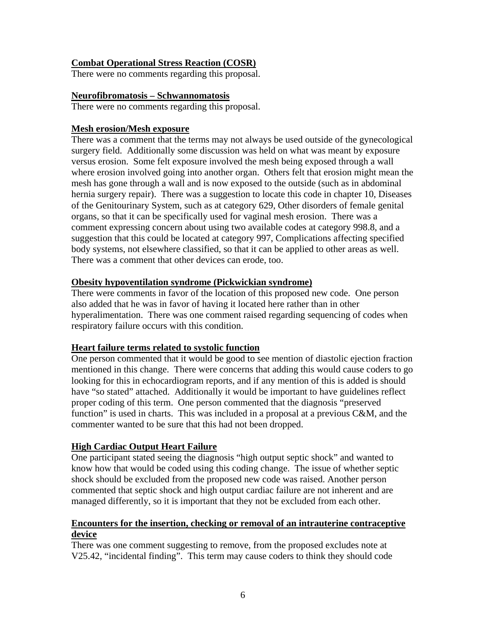# **Combat Operational Stress Reaction (COSR)**

There were no comments regarding this proposal.

## **Neurofibromatosis – Schwannomatosis**

There were no comments regarding this proposal.

### **Mesh erosion/Mesh exposure**

There was a comment that the terms may not always be used outside of the gynecological surgery field. Additionally some discussion was held on what was meant by exposure versus erosion. Some felt exposure involved the mesh being exposed through a wall where erosion involved going into another organ. Others felt that erosion might mean the mesh has gone through a wall and is now exposed to the outside (such as in abdominal hernia surgery repair). There was a suggestion to locate this code in chapter 10, Diseases of the Genitourinary System, such as at category 629, Other disorders of female genital organs, so that it can be specifically used for vaginal mesh erosion. There was a comment expressing concern about using two available codes at category 998.8, and a suggestion that this could be located at category 997, Complications affecting specified body systems, not elsewhere classified, so that it can be applied to other areas as well. There was a comment that other devices can erode, too.

### **Obesity hypoventilation syndrome (Pickwickian syndrome)**

There were comments in favor of the location of this proposed new code. One person also added that he was in favor of having it located here rather than in other hyperalimentation. There was one comment raised regarding sequencing of codes when respiratory failure occurs with this condition.

# **Heart failure terms related to systolic function**

One person commented that it would be good to see mention of diastolic ejection fraction mentioned in this change. There were concerns that adding this would cause coders to go looking for this in echocardiogram reports, and if any mention of this is added is should have "so stated" attached. Additionally it would be important to have guidelines reflect proper coding of this term. One person commented that the diagnosis "preserved function" is used in charts. This was included in a proposal at a previous C&M, and the commenter wanted to be sure that this had not been dropped.

# **High Cardiac Output Heart Failure**

One participant stated seeing the diagnosis "high output septic shock" and wanted to know how that would be coded using this coding change. The issue of whether septic shock should be excluded from the proposed new code was raised. Another person commented that septic shock and high output cardiac failure are not inherent and are managed differently, so it is important that they not be excluded from each other.

# **Encounters for the insertion, checking or removal of an intrauterine contraceptive device**

There was one comment suggesting to remove, from the proposed excludes note at V25.42, "incidental finding". This term may cause coders to think they should code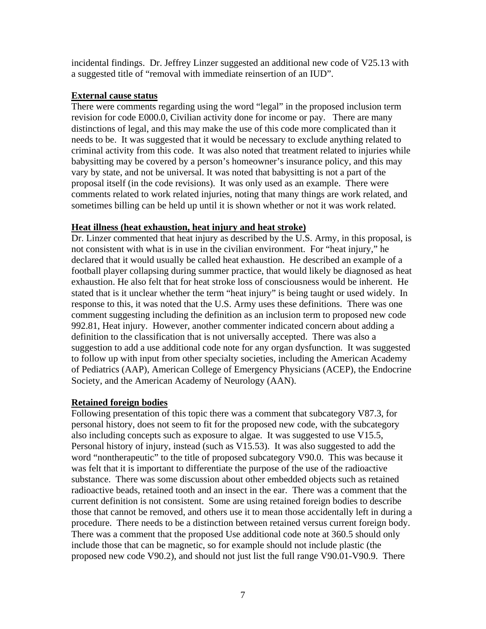incidental findings. Dr. Jeffrey Linzer suggested an additional new code of V25.13 with a suggested title of "removal with immediate reinsertion of an IUD".

### **External cause status**

There were comments regarding using the word "legal" in the proposed inclusion term revision for code E000.0, Civilian activity done for income or pay. There are many distinctions of legal, and this may make the use of this code more complicated than it needs to be. It was suggested that it would be necessary to exclude anything related to criminal activity from this code. It was also noted that treatment related to injuries while babysitting may be covered by a person's homeowner's insurance policy, and this may vary by state, and not be universal. It was noted that babysitting is not a part of the proposal itself (in the code revisions). It was only used as an example. There were comments related to work related injuries, noting that many things are work related, and sometimes billing can be held up until it is shown whether or not it was work related.

### **Heat illness (heat exhaustion, heat injury and heat stroke)**

Dr. Linzer commented that heat injury as described by the U.S. Army, in this proposal, is not consistent with what is in use in the civilian environment. For "heat injury," he declared that it would usually be called heat exhaustion. He described an example of a football player collapsing during summer practice, that would likely be diagnosed as heat exhaustion. He also felt that for heat stroke loss of consciousness would be inherent. He stated that is it unclear whether the term "heat injury" is being taught or used widely. In response to this, it was noted that the U.S. Army uses these definitions. There was one comment suggesting including the definition as an inclusion term to proposed new code 992.81, Heat injury. However, another commenter indicated concern about adding a definition to the classification that is not universally accepted. There was also a suggestion to add a use additional code note for any organ dysfunction. It was suggested to follow up with input from other specialty societies, including the American Academy of Pediatrics (AAP), American College of Emergency Physicians (ACEP), the Endocrine Society, and the American Academy of Neurology (AAN).

# **Retained foreign bodies**

Following presentation of this topic there was a comment that subcategory V87.3, for personal history, does not seem to fit for the proposed new code, with the subcategory also including concepts such as exposure to algae. It was suggested to use V15.5, Personal history of injury, instead (such as V15.53). It was also suggested to add the word "nontherapeutic" to the title of proposed subcategory V90.0. This was because it was felt that it is important to differentiate the purpose of the use of the radioactive substance. There was some discussion about other embedded objects such as retained radioactive beads, retained tooth and an insect in the ear. There was a comment that the current definition is not consistent. Some are using retained foreign bodies to describe those that cannot be removed, and others use it to mean those accidentally left in during a procedure. There needs to be a distinction between retained versus current foreign body. There was a comment that the proposed Use additional code note at 360.5 should only include those that can be magnetic, so for example should not include plastic (the proposed new code V90.2), and should not just list the full range V90.01-V90.9. There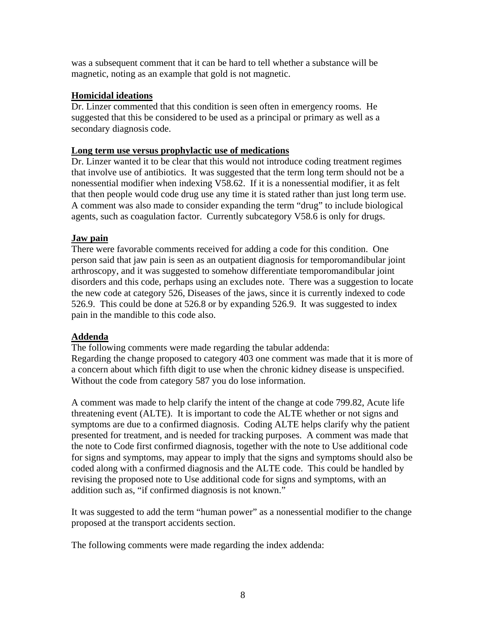was a subsequent comment that it can be hard to tell whether a substance will be magnetic, noting as an example that gold is not magnetic.

## **Homicidal ideations**

Dr. Linzer commented that this condition is seen often in emergency rooms. He suggested that this be considered to be used as a principal or primary as well as a secondary diagnosis code.

#### **Long term use versus prophylactic use of medications**

Dr. Linzer wanted it to be clear that this would not introduce coding treatment regimes that involve use of antibiotics. It was suggested that the term long term should not be a nonessential modifier when indexing V58.62. If it is a nonessential modifier, it as felt that then people would code drug use any time it is stated rather than just long term use. A comment was also made to consider expanding the term "drug" to include biological agents, such as coagulation factor. Currently subcategory V58.6 is only for drugs.

### **Jaw pain**

There were favorable comments received for adding a code for this condition. One person said that jaw pain is seen as an outpatient diagnosis for temporomandibular joint arthroscopy, and it was suggested to somehow differentiate temporomandibular joint disorders and this code, perhaps using an excludes note. There was a suggestion to locate the new code at category 526, Diseases of the jaws, since it is currently indexed to code 526.9. This could be done at 526.8 or by expanding 526.9. It was suggested to index pain in the mandible to this code also.

#### **Addenda**

The following comments were made regarding the tabular addenda: Regarding the change proposed to category 403 one comment was made that it is more of a concern about which fifth digit to use when the chronic kidney disease is unspecified. Without the code from category 587 you do lose information.

A comment was made to help clarify the intent of the change at code 799.82, Acute life threatening event (ALTE). It is important to code the ALTE whether or not signs and symptoms are due to a confirmed diagnosis. Coding ALTE helps clarify why the patient presented for treatment, and is needed for tracking purposes. A comment was made that the note to Code first confirmed diagnosis, together with the note to Use additional code for signs and symptoms, may appear to imply that the signs and symptoms should also be coded along with a confirmed diagnosis and the ALTE code. This could be handled by revising the proposed note to Use additional code for signs and symptoms, with an addition such as, "if confirmed diagnosis is not known."

It was suggested to add the term "human power" as a nonessential modifier to the change proposed at the transport accidents section.

The following comments were made regarding the index addenda: